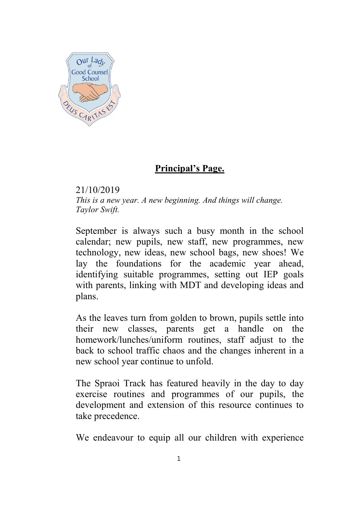

## **Principal's Page.**

21/10/2019 *This is a new year. A new beginning. And things will change. Taylor Swift.*

September is always such a busy month in the school calendar; new pupils, new staff, new programmes, new technology, new ideas, new school bags, new shoes! We lay the foundations for the academic year ahead, identifying suitable programmes, setting out IEP goals with parents, linking with MDT and developing ideas and plans.

As the leaves turn from golden to brown, pupils settle into their new classes, parents get a handle on the homework/lunches/uniform routines, staff adjust to the back to school traffic chaos and the changes inherent in a new school year continue to unfold.

The Spraoi Track has featured heavily in the day to day exercise routines and programmes of our pupils, the development and extension of this resource continues to take precedence.

We endeavour to equip all our children with experience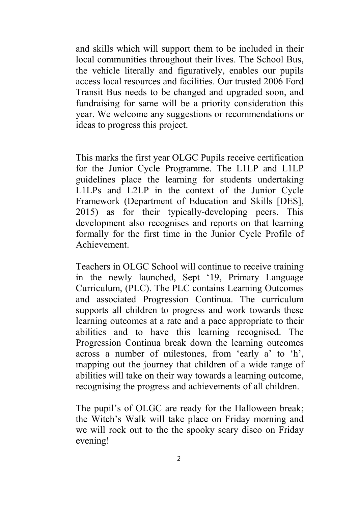and skills which will support them to be included in their local communities throughout their lives. The School Bus, the vehicle literally and figuratively, enables our pupils access local resources and facilities. Our trusted 2006 Ford Transit Bus needs to be changed and upgraded soon, and fundraising for same will be a priority consideration this year. We welcome any suggestions or recommendations or ideas to progress this project.

This marks the first year OLGC Pupils receive certification for the Junior Cycle Programme. The L1LP and L1LP guidelines place the learning for students undertaking L1LPs and L2LP in the context of the Junior Cycle Framework (Department of Education and Skills [DES], 2015) as for their typically-developing peers. This development also recognises and reports on that learning formally for the first time in the Junior Cycle Profile of Achievement.

Teachers in OLGC School will continue to receive training in the newly launched, Sept '19, Primary Language Curriculum, (PLC). The PLC contains Learning Outcomes and associated Progression Continua. The curriculum supports all children to progress and work towards these learning outcomes at a rate and a pace appropriate to their abilities and to have this learning recognised. The Progression Continua break down the learning outcomes across a number of milestones, from 'early a' to 'h', mapping out the journey that children of a wide range of abilities will take on their way towards a learning outcome, recognising the progress and achievements of all children.

The pupil's of OLGC are ready for the Halloween break; the Witch's Walk will take place on Friday morning and we will rock out to the the spooky scary disco on Friday evening!